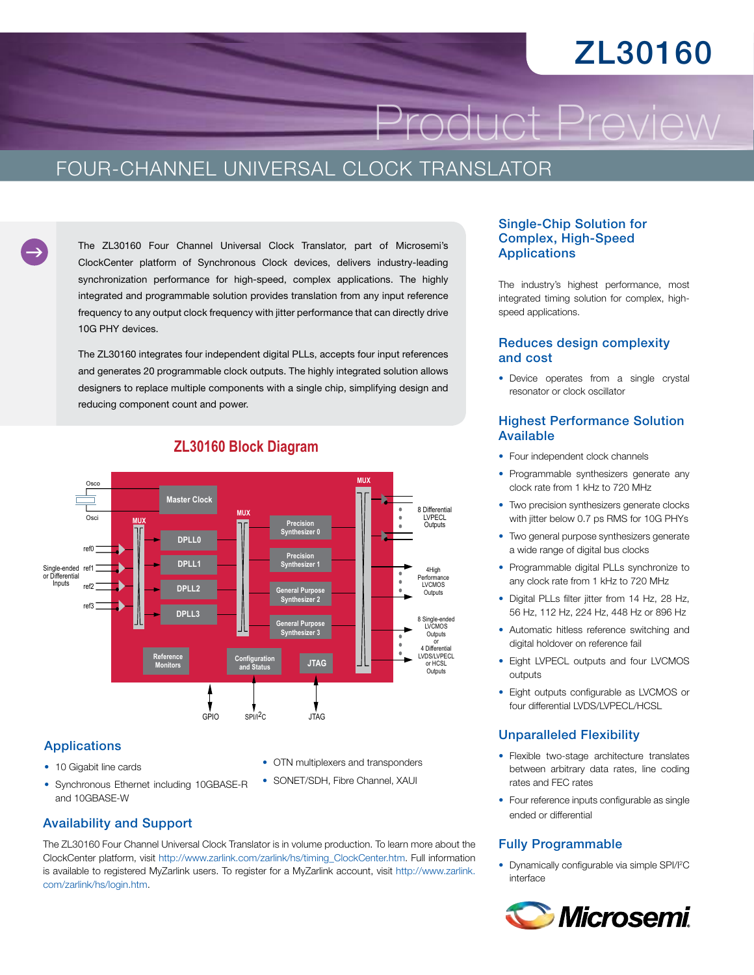# ZL30160

Product Preview

## FOUR-CHANNEL UNIVERSAL CLOCK TRANSLATOR

The ZL30160 Four Channel Universal Clock Translator, part of Microsemi's ClockCenter platform of Synchronous Clock devices, delivers industry-leading synchronization performance for high-speed, complex applications. The highly integrated and programmable solution provides translation from any input reference frequency to any output clock frequency with jitter performance that can directly drive 10G PHY devices.

The ZL30160 integrates four independent digital PLLs, accepts four input references and generates 20 programmable clock outputs. The highly integrated solution allows designers to replace multiple components with a single chip, simplifying design and reducing component count and power.



### **ZL30160 Block Diagram**

#### Applications

• 10 Gigabit line cards

- OTN multiplexers and transponders
- • Synchronous Ethernet including 10GBASE-R and 10GBASE-W
- 
- SONET/SDH, Fibre Channel, XAUI

#### Availability and Support

The ZL30160 Four Channel Universal Clock Translator is in volume production. To learn more about the ClockCenter platform, visit [http://www.zarlink.com/zarlink/hs/timing\\_ClockCenter.htm](http://www.zarlink.com/zarlink/hs/timing_ClockCenter.htm). Full information is available to registered MyZarlink users. To register for a MyZarlink account, visit [http://www.zarlink.](http://www.zarlink.com/zarlink/hs/login.htm) [com/zarlink/hs/login.htm.](http://www.zarlink.com/zarlink/hs/login.htm)

#### Single-Chip Solution for Complex, High-Speed Applications

The industry's highest performance, most integrated timing solution for complex, highspeed applications.

#### Reduces design complexity and cost

• Device operates from a single crystal resonator or clock oscillator

#### Highest Performance Solution Available

- Four independent clock channels
- Programmable synthesizers generate any clock rate from 1 kHz to 720 MHz
- Two precision synthesizers generate clocks with jitter below 0.7 ps RMS for 10G PHYs
- Two general purpose synthesizers generate a wide range of digital bus clocks
- • Programmable digital PLLs synchronize to any clock rate from 1 kHz to 720 MHz
- Digital PLLs filter jitter from 14 Hz, 28 Hz, 56 Hz, 112 Hz, 224 Hz, 448 Hz or 896 Hz
- Automatic hitless reference switching and digital holdover on reference fail
- Eight LVPECL outputs and four LVCMOS outputs
- • Eight outputs configurable as LVCMOS or four differential LVDS/LVPECL/HCSL

#### Unparalleled Flexibility

- Flexible two-stage architecture translates between arbitrary data rates, line coding rates and FEC rates
- Four reference inputs configurable as single ended or differential

#### Fully Programmable

• Dynamically configurable via simple SPI/I<sup>2</sup>C interface